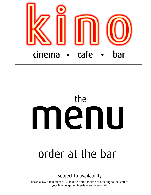

# menu the

# order at the bar

#### subject to availability

please allow a minimum of 30 minute from the time of ordering to the start of your film. longer on tuesdays and weekends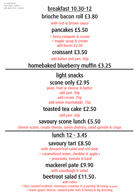(v) vegetarian (vg) vegan /option

### (gf) gluten free / option **breakfast 10.30-12** brioche bacon roll £3.80

with red or brown sauce

#### pancakes £5.50

> berry compote & cream > maple syrup & cream add bacon £2.00

#### croissant £3.50

add butter and jam .50p

# homebaked blueberry muffin £3.25

# light snacks

#### scone only £2.95

plain, fruit or cheese & butter add jam .50p add cream .75p add onion marmalade .75p

#### toasted tea cake £2.50

add jam .50p

#### savoury scone lunch £5.50

cheese scone, cream cheese, onion chutney, salad garnish & crisps

# lunch 12 - 3.45

#### savoury tart £8.50

with dressed leaf salad and red slaw > caramelized onion, cheddar & apple <sup>v</sup> > prosciutto, tomato & basil

#### mackerel pate £9.90

with sourdough & salad

# beetroot salad  $£11.50<sub>v</sub>$

with either

> feta, roasted walnuts, rosemary croutons in a parsley dressing vg option > warm goats cheese, roasted pine nuts & honey & fig dressing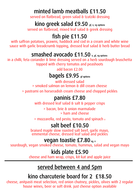#### minted lamb meatballs £11.50

served on flatbread, green salad & tzatziki dressing

#### kino greek salad £9.50 gf, v, vg options

served on flatbread, mixed leaf salad & greek dressing

# fish pie £11.50

with saffron potatoes, prawns, haddock and cod in a cream and white wine sauce with garlic breadcrumb topping, dressed leaf salad & herb butter bread

#### smashed avocado £11.50 v, gf, vg options

in a chilli, feta coriander & lime dressing served on a herb sourdough bruschetta topped with cherry tomatos and peashoots

add bacon £2.00

# bagels £9.95 gf options

> smoked salmon on lemon & dill cream cheese with dressed salad

> pastrami on horseradish cream cheese and chopped pickles

#### paninis £7.80

with dressed leaf salad & salt & pepper crisps

> bacon, brie & onion marmalade > ham and cheese

> mozzarella, red pesto, tomato and spinach <sup>v</sup>

#### salt beef £10.50

braised maple slow roasted salt beef, garlic mayo, emmental cheese, dressed leaf salad and pickles

#### vegan toastie £7.80 vg, v

sourdough, vegan smoked cheese, tomato, hummus, salad and vegan mayo

#### kids plate £5.90

cheese and ham wrap, crisps, kit-kat and apple juice

#### served between 4 and 5pm

#### kino charcuterie board for 2 £18.50

cheese, anitpasti meat selection, red onion chutney, pickles, olives with 2 regular house wines, beer or soft drink. just cheese option available